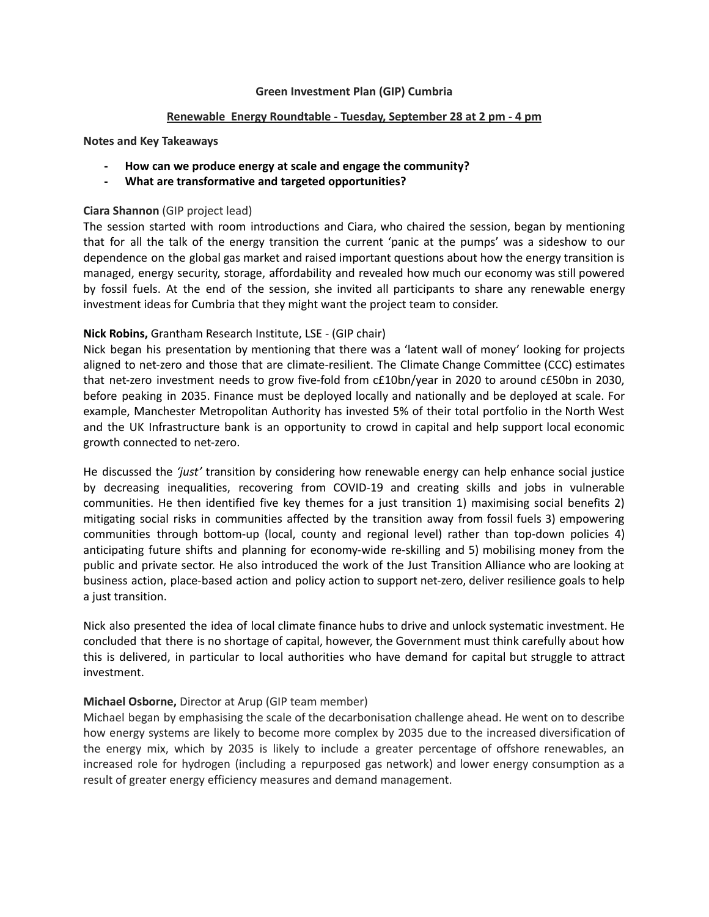#### **Green Investment Plan (GIP) Cumbria**

#### **Renewable Energy Roundtable - Tuesday, September 28 at 2 pm - 4 pm**

**Notes and Key Takeaways**

- **- How can we produce energy at scale and engage the community?**
- **- What are transformative and targeted opportunities?**

## **Ciara Shannon** (GIP project lead)

The session started with room introductions and Ciara, who chaired the session, began by mentioning that for all the talk of the energy transition the current 'panic at the pumps' was a sideshow to our dependence on the global gas market and raised important questions about how the energy transition is managed, energy security, storage, affordability and revealed how much our economy was still powered by fossil fuels. At the end of the session, she invited all participants to share any renewable energy investment ideas for Cumbria that they might want the project team to consider.

## **Nick Robins,** Grantham Research Institute, LSE - (GIP chair)

Nick began his presentation by mentioning that there was a 'latent wall of money' looking for projects aligned to net-zero and those that are climate-resilient. The Climate Change Committee (CCC) estimates that net-zero investment needs to grow five-fold from c£10bn/year in 2020 to around c£50bn in 2030, before peaking in 2035. Finance must be deployed locally and nationally and be deployed at scale. For example, Manchester Metropolitan Authority has invested 5% of their total portfolio in the North West and the UK Infrastructure bank is an opportunity to crowd in capital and help support local economic growth connected to net-zero.

He discussed the *'just'* transition by considering how renewable energy can help enhance social justice by decreasing inequalities, recovering from COVID-19 and creating skills and jobs in vulnerable communities. He then identified five key themes for a just transition 1) maximising social benefits 2) mitigating social risks in communities affected by the transition away from fossil fuels 3) empowering communities through bottom-up (local, county and regional level) rather than top-down policies 4) anticipating future shifts and planning for economy-wide re-skilling and 5) mobilising money from the public and private sector. He also introduced the work of the Just Transition Alliance who are looking at business action, place-based action and policy action to support net-zero, deliver resilience goals to help a just transition.

Nick also presented the idea of local climate finance hubs to drive and unlock systematic investment. He concluded that there is no shortage of capital, however, the Government must think carefully about how this is delivered, in particular to local authorities who have demand for capital but struggle to attract investment.

## **Michael Osborne,** Director at Arup (GIP team member)

Michael began by emphasising the scale of the decarbonisation challenge ahead. He went on to describe how energy systems are likely to become more complex by 2035 due to the increased diversification of the energy mix, which by 2035 is likely to include a greater percentage of offshore renewables, an increased role for hydrogen (including a repurposed gas network) and lower energy consumption as a result of greater energy efficiency measures and demand management.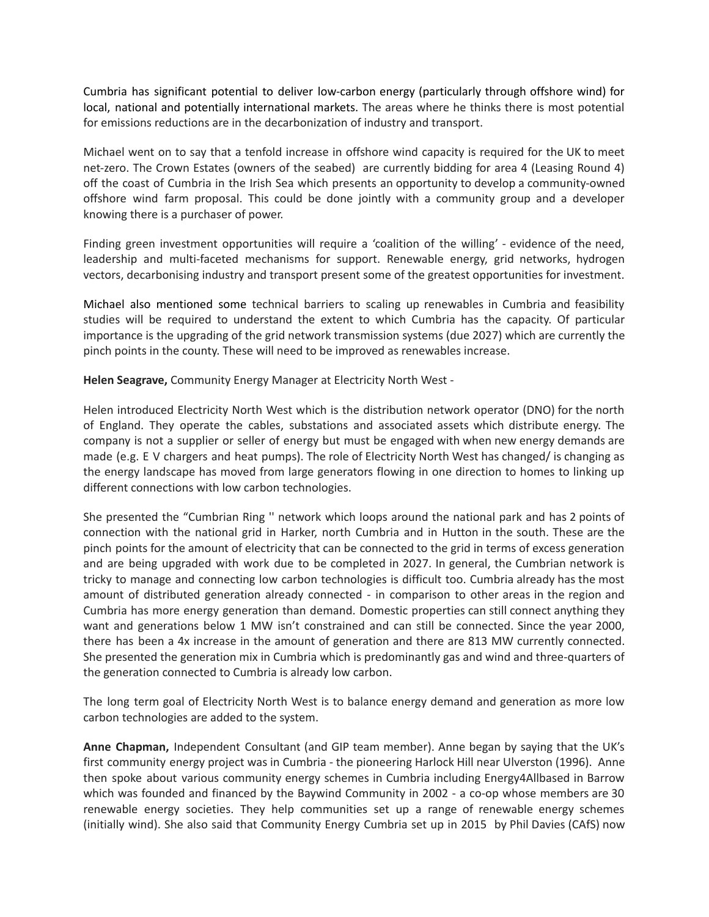Cumbria has significant potential to deliver low-carbon energy (particularly through offshore wind) for local, national and potentially international markets. The areas where he thinks there is most potential for emissions reductions are in the decarbonization of industry and transport.

Michael went on to say that a tenfold increase in offshore wind capacity is required for the UK to meet net-zero. The Crown Estates (owners of the seabed) are currently bidding for area 4 (Leasing Round 4) off the coast of Cumbria in the Irish Sea which presents an opportunity to develop a community-owned offshore wind farm proposal. This could be done jointly with a community group and a developer knowing there is a purchaser of power.

Finding green investment opportunities will require a 'coalition of the willing' - evidence of the need, leadership and multi-faceted mechanisms for support. Renewable energy, grid networks, hydrogen vectors, decarbonising industry and transport present some of the greatest opportunities for investment.

Michael also mentioned some technical barriers to scaling up renewables in Cumbria and feasibility studies will be required to understand the extent to which Cumbria has the capacity. Of particular importance is the upgrading of the grid network transmission systems (due 2027) which are currently the pinch points in the county. These will need to be improved as renewables increase.

**Helen Seagrave,** Community Energy Manager at Electricity North West -

Helen introduced Electricity North West which is the distribution network operator (DNO) for the north of England. They operate the cables, substations and associated assets which distribute energy. The company is not a supplier or seller of energy but must be engaged with when new energy demands are made (e.g. E V chargers and heat pumps). The role of Electricity North West has changed/ is changing as the energy landscape has moved from large generators flowing in one direction to homes to linking up different connections with low carbon technologies.

She presented the "Cumbrian Ring '' network which loops around the national park and has 2 points of connection with the national grid in Harker, north Cumbria and in Hutton in the south. These are the pinch points for the amount of electricity that can be connected to the grid in terms of excess generation and are being upgraded with work due to be completed in 2027. In general, the Cumbrian network is tricky to manage and connecting low carbon technologies is difficult too. Cumbria already has the most amount of distributed generation already connected - in comparison to other areas in the region and Cumbria has more energy generation than demand. Domestic properties can still connect anything they want and generations below 1 MW isn't constrained and can still be connected. Since the year 2000, there has been a 4x increase in the amount of generation and there are 813 MW currently connected. She presented the generation mix in Cumbria which is predominantly gas and wind and three-quarters of the generation connected to Cumbria is already low carbon.

The long term goal of Electricity North West is to balance energy demand and generation as more low carbon technologies are added to the system.

**Anne Chapman,** Independent Consultant (and GIP team member). Anne began by saying that the UK's first community energy project was in Cumbria - the pioneering Harlock Hill near Ulverston (1996). Anne then spoke about various community energy schemes in Cumbria including Energy4Allbased in Barrow which was founded and financed by the Baywind Community in 2002 - a co-op whose members are 30 renewable energy societies. They help communities set up a range of renewable energy schemes (initially wind). She also said that Community Energy Cumbria set up in 2015 by Phil Davies (CAfS) now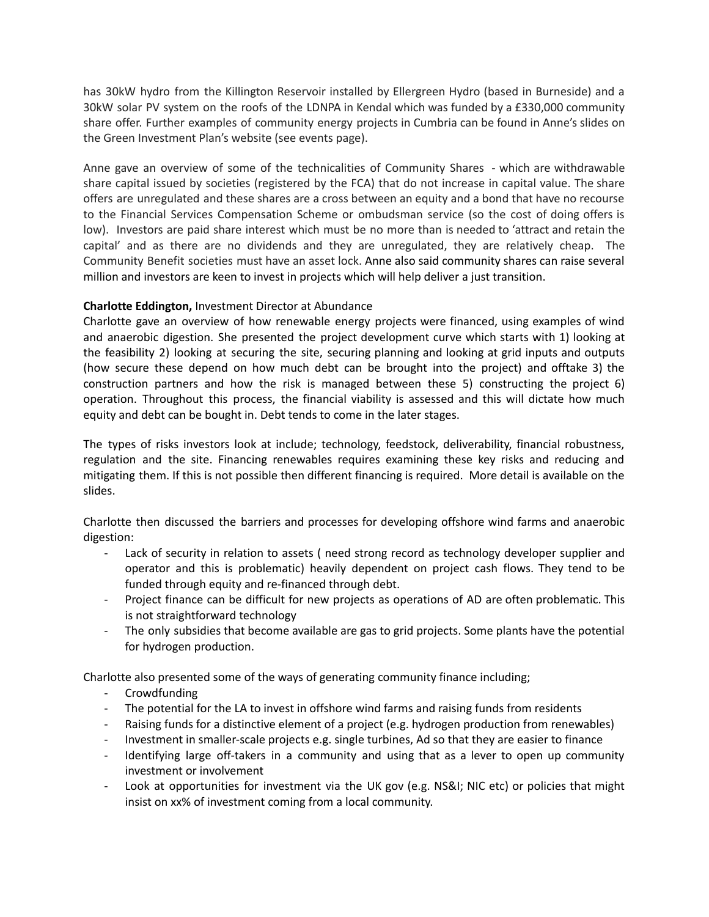has 30kW hydro from the Killington Reservoir installed by Ellergreen Hydro (based in Burneside) and a 30kW solar PV system on the roofs of the LDNPA in Kendal which was funded by a £330,000 community share offer. Further examples of community energy projects in Cumbria can be found in Anne's slides on the Green Investment Plan's website (see events page).

Anne gave an overview of some of the technicalities of Community Shares - which are withdrawable share capital issued by societies (registered by the FCA) that do not increase in capital value. The share offers are unregulated and these shares are a cross between an equity and a bond that have no recourse to the Financial Services Compensation Scheme or ombudsman service (so the cost of doing offers is low). Investors are paid share interest which must be no more than is needed to 'attract and retain the capital' and as there are no dividends and they are unregulated, they are relatively cheap. The Community Benefit societies must have an asset lock. Anne also said community shares can raise several million and investors are keen to invest in projects which will help deliver a just transition.

# **Charlotte Eddington,** Investment Director at Abundance

Charlotte gave an overview of how renewable energy projects were financed, using examples of wind and anaerobic digestion. She presented the project development curve which starts with 1) looking at the feasibility 2) looking at securing the site, securing planning and looking at grid inputs and outputs (how secure these depend on how much debt can be brought into the project) and offtake 3) the construction partners and how the risk is managed between these 5) constructing the project 6) operation. Throughout this process, the financial viability is assessed and this will dictate how much equity and debt can be bought in. Debt tends to come in the later stages.

The types of risks investors look at include; technology, feedstock, deliverability, financial robustness, regulation and the site. Financing renewables requires examining these key risks and reducing and mitigating them. If this is not possible then different financing is required. More detail is available on the slides.

Charlotte then discussed the barriers and processes for developing offshore wind farms and anaerobic digestion:

- Lack of security in relation to assets ( need strong record as technology developer supplier and operator and this is problematic) heavily dependent on project cash flows. They tend to be funded through equity and re-financed through debt.
- Project finance can be difficult for new projects as operations of AD are often problematic. This is not straightforward technology
- The only subsidies that become available are gas to grid projects. Some plants have the potential for hydrogen production.

Charlotte also presented some of the ways of generating community finance including;

- Crowdfunding
- The potential for the LA to invest in offshore wind farms and raising funds from residents
- Raising funds for a distinctive element of a project (e.g. hydrogen production from renewables)
- Investment in smaller-scale projects e.g. single turbines, Ad so that they are easier to finance
- Identifying large off-takers in a community and using that as a lever to open up community investment or involvement
- Look at opportunities for investment via the UK gov (e.g. NS&I; NIC etc) or policies that might insist on xx% of investment coming from a local community.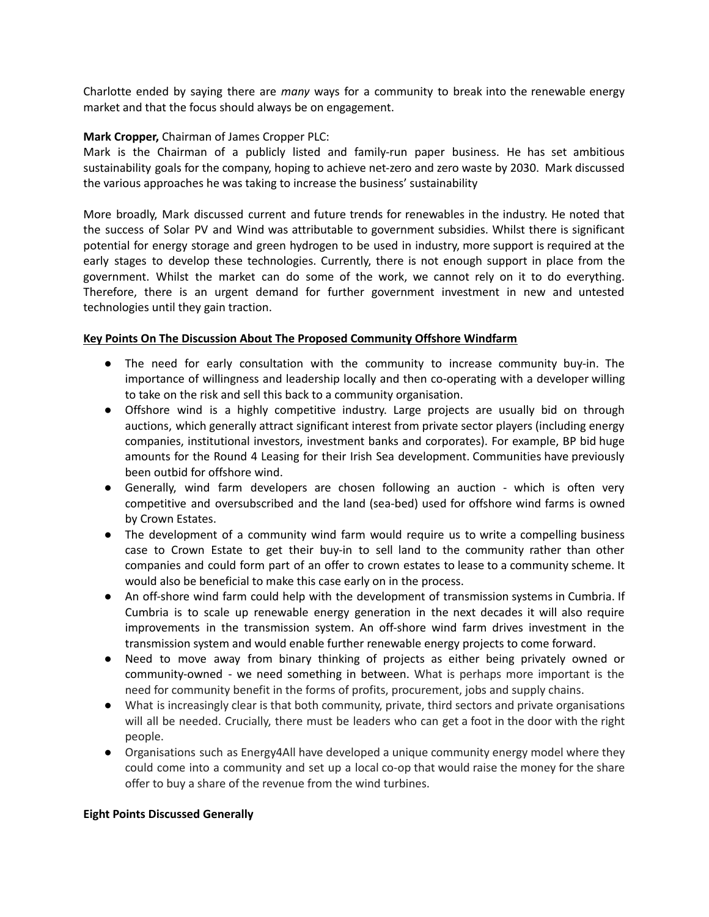Charlotte ended by saying there are *many* ways for a community to break into the renewable energy market and that the focus should always be on engagement.

## **Mark Cropper,** Chairman of James Cropper PLC:

Mark is the Chairman of a publicly listed and family-run paper business. He has set ambitious sustainability goals for the company, hoping to achieve net-zero and zero waste by 2030. Mark discussed the various approaches he was taking to increase the business' sustainability

More broadly, Mark discussed current and future trends for renewables in the industry. He noted that the success of Solar PV and Wind was attributable to government subsidies. Whilst there is significant potential for energy storage and green hydrogen to be used in industry, more support is required at the early stages to develop these technologies. Currently, there is not enough support in place from the government. Whilst the market can do some of the work, we cannot rely on it to do everything. Therefore, there is an urgent demand for further government investment in new and untested technologies until they gain traction.

#### **Key Points On The Discussion About The Proposed Community Offshore Windfarm**

- The need for early consultation with the community to increase community buy-in. The importance of willingness and leadership locally and then co-operating with a developer willing to take on the risk and sell this back to a community organisation.
- Offshore wind is a highly competitive industry. Large projects are usually bid on through auctions, which generally attract significant interest from private sector players (including energy companies, institutional investors, investment banks and corporates). For example, BP bid huge amounts for the Round 4 Leasing for their Irish Sea development. Communities have previously been outbid for offshore wind.
- Generally, wind farm developers are chosen following an auction which is often very competitive and oversubscribed and the land (sea-bed) used for offshore wind farms is owned by Crown Estates.
- The development of a community wind farm would require us to write a compelling business case to Crown Estate to get their buy-in to sell land to the community rather than other companies and could form part of an offer to crown estates to lease to a community scheme. It would also be beneficial to make this case early on in the process.
- **●** An off-shore wind farm could help with the development of transmission systems in Cumbria. If Cumbria is to scale up renewable energy generation in the next decades it will also require improvements in the transmission system. An off-shore wind farm drives investment in the transmission system and would enable further renewable energy projects to come forward.
- **●** Need to move away from binary thinking of projects as either being privately owned or community-owned - we need something in between. What is perhaps more important is the need for community benefit in the forms of profits, procurement, jobs and supply chains.
- **●** What is increasingly clear is that both community, private, third sectors and private organisations will all be needed. Crucially, there must be leaders who can get a foot in the door with the right people.
- **●** Organisations such as Energy4All have developed a unique community energy model where they could come into a community and set up a local co-op that would raise the money for the share offer to buy a share of the revenue from the wind turbines.

#### **Eight Points Discussed Generally**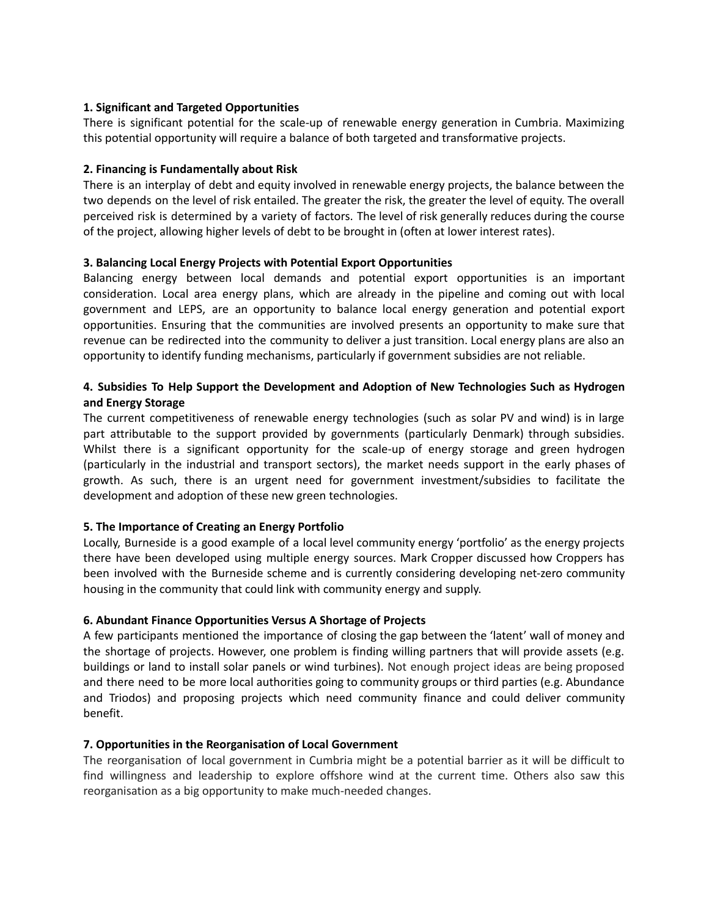## **1. Significant and Targeted Opportunities**

There is significant potential for the scale-up of renewable energy generation in Cumbria. Maximizing this potential opportunity will require a balance of both targeted and transformative projects.

#### **2. Financing is Fundamentally about Risk**

There is an interplay of debt and equity involved in renewable energy projects, the balance between the two depends on the level of risk entailed. The greater the risk, the greater the level of equity. The overall perceived risk is determined by a variety of factors. The level of risk generally reduces during the course of the project, allowing higher levels of debt to be brought in (often at lower interest rates).

#### **3. Balancing Local Energy Projects with Potential Export Opportunities**

Balancing energy between local demands and potential export opportunities is an important consideration. Local area energy plans, which are already in the pipeline and coming out with local government and LEPS, are an opportunity to balance local energy generation and potential export opportunities. Ensuring that the communities are involved presents an opportunity to make sure that revenue can be redirected into the community to deliver a just transition. Local energy plans are also an opportunity to identify funding mechanisms, particularly if government subsidies are not reliable.

# **4. Subsidies To Help Support the Development and Adoption of New Technologies Such as Hydrogen and Energy Storage**

The current competitiveness of renewable energy technologies (such as solar PV and wind) is in large part attributable to the support provided by governments (particularly Denmark) through subsidies. Whilst there is a significant opportunity for the scale-up of energy storage and green hydrogen (particularly in the industrial and transport sectors), the market needs support in the early phases of growth. As such, there is an urgent need for government investment/subsidies to facilitate the development and adoption of these new green technologies.

## **5. The Importance of Creating an Energy Portfolio**

Locally, Burneside is a good example of a local level community energy 'portfolio' as the energy projects there have been developed using multiple energy sources. Mark Cropper discussed how Croppers has been involved with the Burneside scheme and is currently considering developing net-zero community housing in the community that could link with community energy and supply.

## **6. Abundant Finance Opportunities Versus A Shortage of Projects**

A few participants mentioned the importance of closing the gap between the 'latent' wall of money and the shortage of projects. However, one problem is finding willing partners that will provide assets (e.g. buildings or land to install solar panels or wind turbines). Not enough project ideas are being proposed and there need to be more local authorities going to community groups or third parties (e.g. Abundance and Triodos) and proposing projects which need community finance and could deliver community benefit.

## **7. Opportunities in the Reorganisation of Local Government**

The reorganisation of local government in Cumbria might be a potential barrier as it will be difficult to find willingness and leadership to explore offshore wind at the current time. Others also saw this reorganisation as a big opportunity to make much-needed changes.